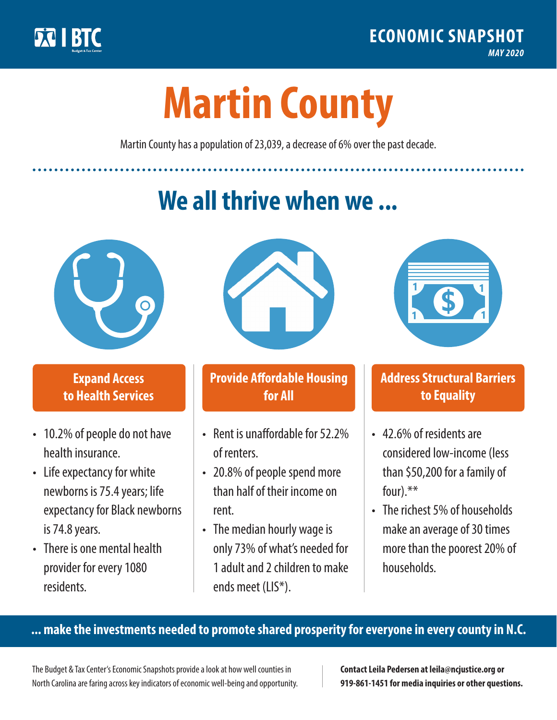

**1**

# **Martin County**

Martin County has a population of 23,039, a decrease of 6% over the past decade.

# **We all thrive when we ...**



**\$ <sup>1</sup>**

**\$ <sup>1</sup>**

#### **Expand Access to Health Services**

- 10.2% of people do not have health insurance.
- Life expectancy for white newborns is 75.4years; life expectancy for Black newborns is 74.8years.
- There is one mental health provider for every 1080 residents.



## **Provide Affordable Housing for All**

- Rent is unaffordable for 52.2% of renters.
- 20.8% of people spend more than half of their income on rent.
- The median hourly wage is only 73% of what's needed for 1 adult and 2 children to make ends meet (LIS\*).



## **Address Structural Barriers to Equality**

- 42.6% of residents are considered low-income (less than \$50,200 for a family of four).\*\*
- The richest 5% of households make an average of 30 times more than the poorest 20% of households.

#### **... make the investments needed to promote shared prosperity for everyone in every county in N.C.**

The Budget & Tax Center's Economic Snapshots provide a look at how well counties in North Carolina are faring across key indicators of economic well-being and opportunity.